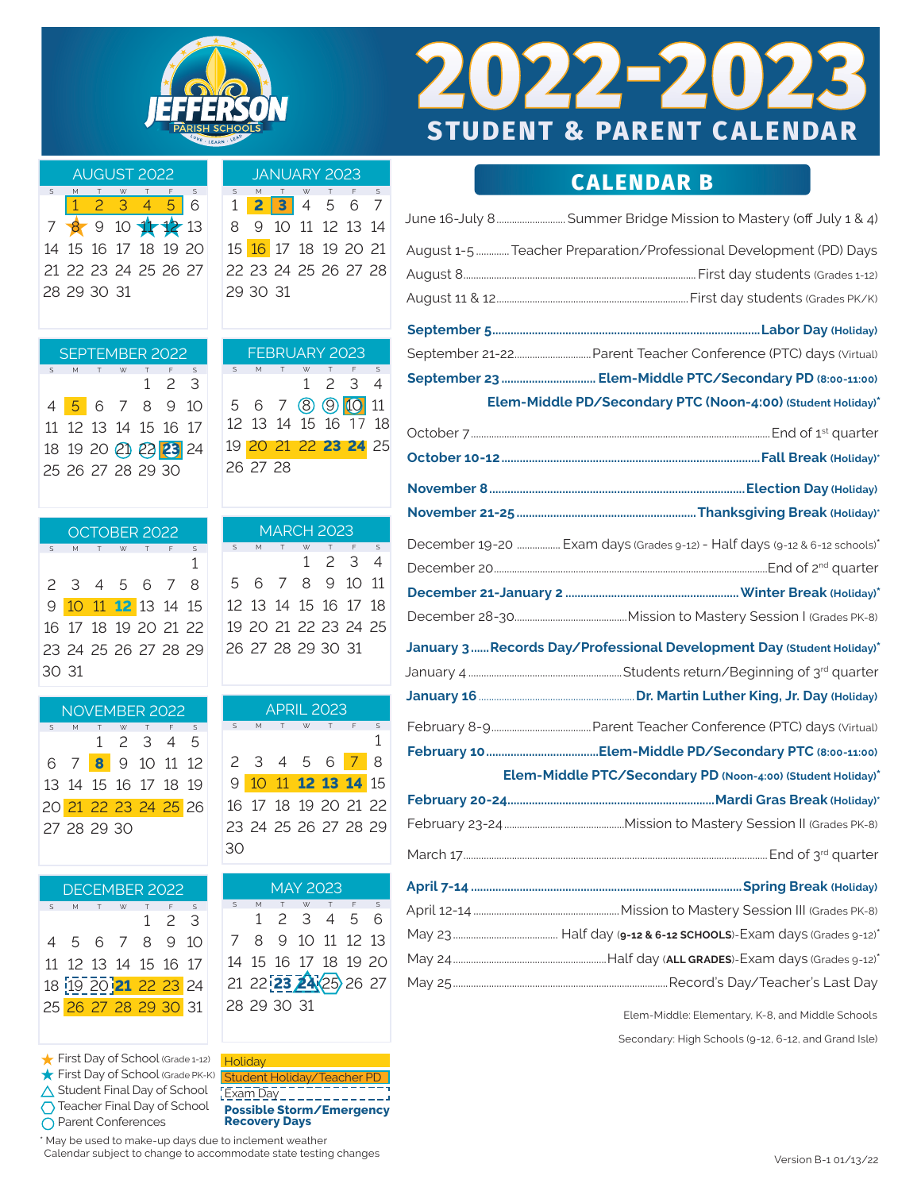

## **CALENDAR B**

| June 16-July 8 Summer Bridge Mission to Mastery (off July 1 & 4)           |
|----------------------------------------------------------------------------|
| August 1-5  Teacher Preparation/Professional Development (PD) Days         |
|                                                                            |
|                                                                            |
|                                                                            |
|                                                                            |
| September 23  Elem-Middle PTC/Secondary PD (8:00-11:00)                    |
| Elem-Middle PD/Secondary PTC (Noon-4:00) (Student Holiday)*                |
|                                                                            |
|                                                                            |
|                                                                            |
|                                                                            |
| December 19-20  Exam days (Grades 9-12) - Half days (9-12 & 6-12 schools)* |
|                                                                            |
|                                                                            |
|                                                                            |
| January 3 Records Day/Professional Development Day (Student Holiday)*      |
|                                                                            |
|                                                                            |
|                                                                            |
|                                                                            |
| Elem-Middle PTC/Secondary PD (Noon-4:00) (Student Holiday)*                |
|                                                                            |
|                                                                            |
|                                                                            |
|                                                                            |
|                                                                            |
|                                                                            |
|                                                                            |
|                                                                            |
|                                                                            |

Elem-Middle: Elementary, K-8, and Middle Schools

Secondary: High Schools (9-12, 6-12, and Grand Isle)

 $7 \times 9 = 10$ 14 15 16 17 21 22 23 24 28 29 30 31

|              | AUGUST 2022 |  |                      |   | JANUARY 2023 |  |     |                      |              |
|--------------|-------------|--|----------------------|---|--------------|--|-----|----------------------|--------------|
| $\mathsf{s}$ |             |  | S.                   | S |              |  | W T |                      | $\mathsf{S}$ |
|              | 1 2 3 4 5 6 |  |                      |   |              |  |     | 1 2 3 4 5 6 7        |              |
|              |             |  | 7 8 9 10 1 1 2 13    |   |              |  |     | 8 9 10 11 12 13 14   |              |
|              |             |  | 4 15 16 17 18 19 20  |   |              |  |     | 15 16 17 18 19 20 21 |              |
|              |             |  | 21 22 23 24 25 26 27 |   |              |  |     | 22 23 24 25 26 27 28 |              |
|              | 8 29 30 31  |  |                      |   | 29 30 31     |  |     |                      |              |
|              |             |  |                      |   |              |  |     |                      |              |

|        | SEPTEMBER 2022<br>T W T F |                      |  |  |             |              |  |   | FEBRUARY 2023 |  |                      |  |
|--------|---------------------------|----------------------|--|--|-------------|--------------|--|---|---------------|--|----------------------|--|
| $\leq$ |                           |                      |  |  |             | $\mathsf{S}$ |  | S |               |  | M T W T F S          |  |
|        |                           |                      |  |  | $1 \t2 \t3$ |              |  |   |               |  | $1 \t2 \t3 \t4$      |  |
|        |                           | 4 5 6 7 8 9 10       |  |  |             |              |  |   |               |  | 5 6 7 8 9 10 11      |  |
|        |                           | 11 12 13 14 15 16 17 |  |  |             |              |  |   |               |  | 12 13 14 15 16 17 18 |  |
|        |                           | 18 19 20 21 23 24    |  |  |             |              |  |   |               |  | 19 20 21 22 23 24 25 |  |
|        |                           | 25 26 27 28 29 30    |  |  |             |              |  |   | 26 27 28      |  |                      |  |
|        |                           |                      |  |  |             |              |  |   |               |  |                      |  |

|       |  |     | OCTOBER 2022         |             |                      |   |   |   | <b>MARCH 2023</b>    |    |          |
|-------|--|-----|----------------------|-------------|----------------------|---|---|---|----------------------|----|----------|
| S     |  | T W |                      | $T$ $F$ $S$ |                      | S | M | W | T                    | F. | $\sim$ S |
|       |  |     |                      |             |                      |   |   |   | $1 \t2 \t3 \t4$      |    |          |
|       |  |     | 2 3 4 5 6 7 8        |             |                      |   |   |   | 5 6 7 8 9 10 11      |    |          |
|       |  |     | 9 10 11 12 13 14 15  |             |                      |   |   |   | 12 13 14 15 16 17 18 |    |          |
|       |  |     |                      |             | 16 17 18 19 20 21 22 |   |   |   | 19 20 21 22 23 24 25 |    |          |
|       |  |     | 23 24 25 26 27 28 29 |             |                      |   |   |   | 26 27 28 29 30 31    |    |          |
| 30 31 |  |     |                      |             |                      |   |   |   |                      |    |          |

| <b>APRIL 2023</b> |   |  |          |                      |   |              |  |  |  |  |  |  |  |
|-------------------|---|--|----------|----------------------|---|--------------|--|--|--|--|--|--|--|
| S                 | M |  | <b>W</b> | T                    | F | $\mathsf{S}$ |  |  |  |  |  |  |  |
|                   |   |  |          |                      |   | 1            |  |  |  |  |  |  |  |
|                   |   |  |          | 2 3 4 5 6 7          |   | 8            |  |  |  |  |  |  |  |
|                   |   |  |          | 9 10 11 12 13 14 15  |   |              |  |  |  |  |  |  |  |
|                   |   |  |          | 16 17 18 19 20 21 22 |   |              |  |  |  |  |  |  |  |
|                   |   |  |          | 23 24 25 26 27 28 29 |   |              |  |  |  |  |  |  |  |
|                   |   |  |          |                      |   |              |  |  |  |  |  |  |  |

| MAY 2023 |                      |  |             |         |  |  |  |  |  |  |  |  |  |  |
|----------|----------------------|--|-------------|---------|--|--|--|--|--|--|--|--|--|--|
|          | $S$ M                |  |             | W T F S |  |  |  |  |  |  |  |  |  |  |
|          |                      |  | 1 2 3 4 5 6 |         |  |  |  |  |  |  |  |  |  |  |
|          | 7 8 9 10 11 12 13    |  |             |         |  |  |  |  |  |  |  |  |  |  |
|          | 14 15 16 17 18 19 20 |  |             |         |  |  |  |  |  |  |  |  |  |  |
|          | 21 22 23 24 25 26 27 |  |             |         |  |  |  |  |  |  |  |  |  |  |
|          | 28 29 30 31          |  |             |         |  |  |  |  |  |  |  |  |  |  |

First Day of School (Grade 1-12) Holiday First Day of School (Grade PK-K) Student Holiday/Teacher PD Student Final Day of School [Exam Day Teacher Final Day of School O Parent Conferences

1 2 3

DECEMBER 2022 S M T W T F S

27 28 29 30

NOVEMBER 2022 S M T W T F S 1 2 3 4 5

6 7 **8** 9 10 11 12 13 14 15 16 17 18 19 20 21 22 23 24 25 26

30 31

 5 6 7 8 9 10 12 13 14 15 16 17 19 20 **21** 22 23 24 26 27 28 29 30 31

> **Possible Storm/Emergency Recovery Days**

\* May be used to make-up days due to inclement weather Calendar subject to change to accommodate state testing changes